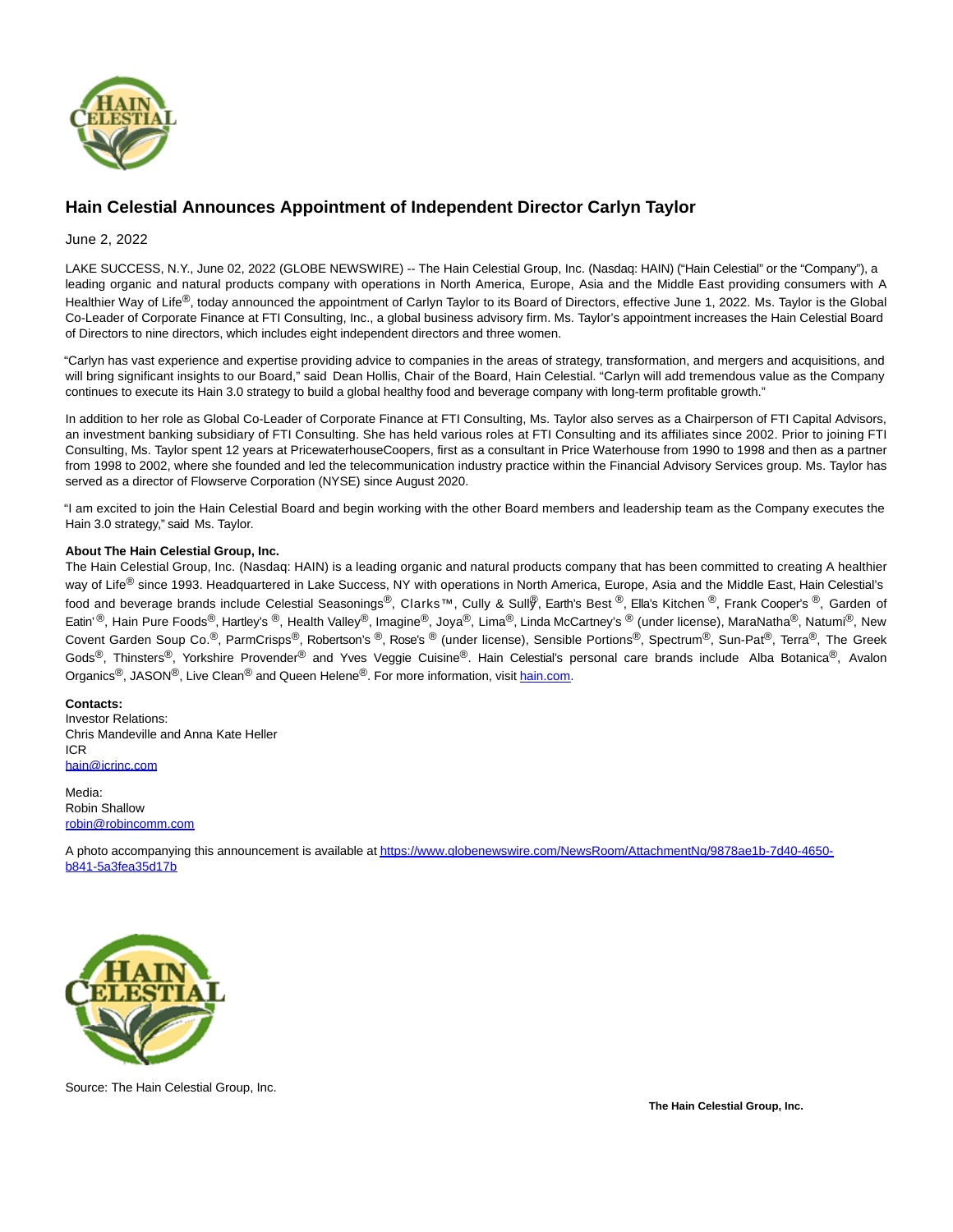

## **Hain Celestial Announces Appointment of Independent Director Carlyn Taylor**

## June 2, 2022

LAKE SUCCESS, N.Y., June 02, 2022 (GLOBE NEWSWIRE) -- The Hain Celestial Group, Inc. (Nasdaq: HAIN) ("Hain Celestial" or the "Company"), a leading organic and natural products company with operations in North America, Europe, Asia and the Middle East providing consumers with A Healthier Way of Life<sup>®</sup>, today announced the appointment of Carlyn Taylor to its Board of Directors, effective June 1, 2022. Ms. Taylor is the Global Co-Leader of Corporate Finance at FTI Consulting, Inc., a global business advisory firm. Ms. Taylor's appointment increases the Hain Celestial Board of Directors to nine directors, which includes eight independent directors and three women.

"Carlyn has vast experience and expertise providing advice to companies in the areas of strategy, transformation, and mergers and acquisitions, and will bring significant insights to our Board," said Dean Hollis, Chair of the Board, Hain Celestial. "Carlyn will add tremendous value as the Company continues to execute its Hain 3.0 strategy to build a global healthy food and beverage company with long-term profitable growth."

In addition to her role as Global Co-Leader of Corporate Finance at FTI Consulting, Ms. Taylor also serves as a Chairperson of FTI Capital Advisors, an investment banking subsidiary of FTI Consulting. She has held various roles at FTI Consulting and its affiliates since 2002. Prior to joining FTI Consulting, Ms. Taylor spent 12 years at PricewaterhouseCoopers, first as a consultant in Price Waterhouse from 1990 to 1998 and then as a partner from 1998 to 2002, where she founded and led the telecommunication industry practice within the Financial Advisory Services group. Ms. Taylor has served as a director of Flowserve Corporation (NYSE) since August 2020.

"I am excited to join the Hain Celestial Board and begin working with the other Board members and leadership team as the Company executes the Hain 3.0 strategy," said Ms. Taylor.

## **About The Hain Celestial Group, Inc.**

The Hain Celestial Group, Inc. (Nasdaq: HAIN) is a leading organic and natural products company that has been committed to creating A healthier way of Life<sup>®</sup> since 1993. Headquartered in Lake Success, NY with operations in North America, Europe, Asia and the Middle East, Hain Celestial's food and beverage brands include Celestial Seasonings®, Clarks™, Cully & Sull®, Earth's Best ®, Ella's Kitchen ®, Frank Cooper's ®, Garden of Eatin' ®, Hain Pure Foods®, Hartley's ®, Health Valley®, Imagine®, Joya®, Lima®, Linda McCartney's ® (under license), MaraNatha®, Natumi®, New Covent Garden Soup Co.<sup>®</sup>, ParmCrisps®, Robertson's ®, Rose's ® (under license), Sensible Portions®, Spectrum®, Sun-Pat<sup>®</sup>, Terra<sup>®</sup>, The Greek Gods<sup>®</sup>, Thinsters<sup>®</sup>, Yorkshire Provender<sup>®</sup> and Yves Veggie Cuisine®. Hain Celestial's personal care brands include Alba Botanica®, Avalon Organics<sup>®</sup>, JASON<sup>®</sup>, Live Clean<sup>®</sup> and Queen Helene<sup>®</sup>. For more information, visi[t hain.com.](https://www.globenewswire.com/Tracker?data=UAEUoGZ7TYaErAZFGgOK6hde1OB8Es2dsoEmu_ZOj9WvMCU9SryBF4URfvwyWa4q75Cnb8XPHrMZ-qSFSSi-9A==)

## **Contacts:**

Investor Relations: Chris Mandeville and Anna Kate Heller ICR [hain@icrinc.com](https://www.globenewswire.com/Tracker?data=joSXVcCRjtr7JIYRIcb-w_Yc3fRrbRfYbTW-7L_tKN4uiC2SEpMeg-rwmVbKmKXMwIvlodhg8CkUZzJi9RDVMQ==)

Media: Robin Shallow [robin@robincomm.com](https://www.globenewswire.com/Tracker?data=us01ursluxbsby4b5PBpsop90ZvkW2H_CiN0PEo8swMbimLpU2uWsRENd7vi_WMVyP267IpWd4dtthHCEQsnRI6axKMDTIEk1gqfDgK_7NY=)

A photo accompanying this announcement is available at https://www.globenewswire.com/NewsRoom/AttachmentNa/9878ae1b-7d40-4650b841-5a3fea35d17b



Source: The Hain Celestial Group, Inc.

**The Hain Celestial Group, Inc.**